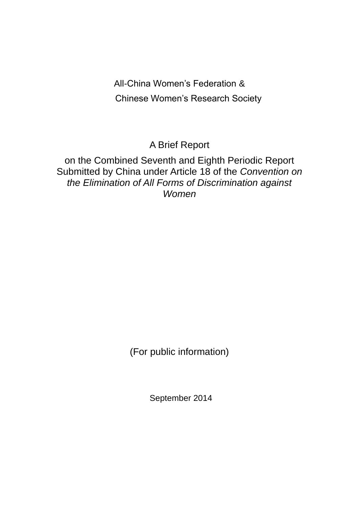All-China Women's Federation & Chinese Women's Research Society

A Brief Report

on the Combined Seventh and Eighth Periodic Report Submitted by China under Article 18 of the *Convention on the Elimination of All Forms of Discrimination against Women*

(For public information)

September 2014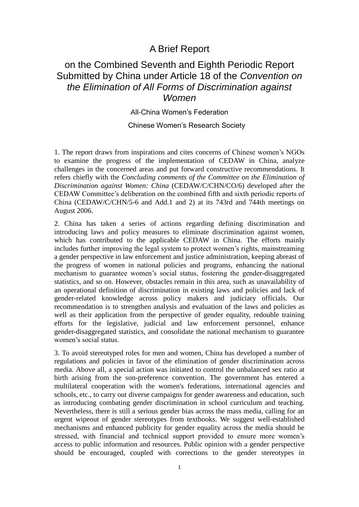## A Brief Report

## on the Combined Seventh and Eighth Periodic Report Submitted by China under Article 18 of the *Convention on the Elimination of All Forms of Discrimination against Women*

All-China Women's Federation

Chinese Women's Research Society

1. The report draws from inspirations and cites concerns of Chinese women's NGOs to examine the progress of the implementation of CEDAW in China, analyze challenges in the concerned areas and put forward constructive recommendations. It refers chiefly with the *Concluding comments of the Committee on the Elimination of Discrimination against Women: China* (CEDAW/C/CHN/CO/6) developed after the CEDAW Committee's deliberation on the combined fifth and sixth periodic reports of China (CEDAW/C/CHN/5-6 and Add.1 and 2) at its 743rd and 744th meetings on August 2006.

2. China has taken a series of actions regarding defining discrimination and introducing laws and policy measures to eliminate discrimination against women, which has contributed to the applicable CEDAW in China. The efforts mainly includes further improving the legal system to protect women's rights, mainstreaming a gender perspective in law enforcement and justice administration, keeping abreast of the progress of women in national policies and programs, enhancing the national mechanism to guarantee women's social status, fostering the gender-disaggregated statistics, and so on. However, obstacles remain in this area, such as unavailability of an operational definition of discrimination in existing laws and policies and lack of gender-related knowledge across policy makers and judiciary officials. Our recommendation is to strengthen analysis and evaluation of the laws and policies as well as their application from the perspective of gender equality, redouble training efforts for the legislative, judicial and law enforcement personnel, enhance gender-disaggregated statistics, and consolidate the national mechanism to guarantee women's social status.

3. To avoid stereotyped roles for men and women, China has developed a number of regulations and policies in favor of the elimination of gender discrimination across media. Above all, a special action was initiated to control the unbalanced sex ratio at birth arising from the son-preference convention. The government has entered a multilateral cooperation with the women's federations, international agencies and schools, etc., to carry out diverse campaigns for gender awareness and education, such as introducing combating gender discrimination in school curriculum and teaching. Nevertheless, there is still a serious gender bias across the mass media, calling for an urgent wipeout of gender stereotypes from textbooks. We suggest well-established mechanisms and enhanced publicity for gender equality across the media should be stressed, with financial and technical support provided to ensure more women's access to public information and resources. Public opinion with a gender perspective should be encouraged, coupled with corrections to the gender stereotypes in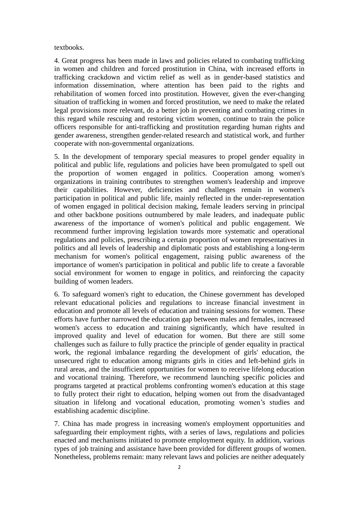#### textbooks.

4. Great progress has been made in laws and policies related to combating trafficking in women and children and forced prostitution in China, with increased efforts in trafficking crackdown and victim relief as well as in gender-based statistics and information dissemination, where attention has been paid to the rights and rehabilitation of women forced into prostitution. However, given the ever-changing situation of trafficking in women and forced prostitution, we need to make the related legal provisions more relevant, do a better job in preventing and combating crimes in this regard while rescuing and restoring victim women, continue to train the police officers responsible for anti-trafficking and prostitution regarding human rights and gender awareness, strengthen gender-related research and statistical work, and further cooperate with non-governmental organizations.

5. In the development of temporary special measures to propel gender equality in political and public life, regulations and policies have been promulgated to spell out the proportion of women engaged in politics. Cooperation among women's organizations in training contributes to strengthen women's leadership and improve their capabilities. However, deficiencies and challenges remain in women's participation in political and public life, mainly reflected in the under-representation of women engaged in political decision making, female leaders serving in principal and other backbone positions outnumbered by male leaders, and inadequate public awareness of the importance of women's political and public engagement. We recommend further improving legislation towards more systematic and operational regulations and policies, prescribing a certain proportion of women representatives in politics and all levels of leadership and diplomatic posts and establishing a long-term mechanism for women's political engagement, raising public awareness of the importance of women's participation in political and public life to create a favorable social environment for women to engage in politics, and reinforcing the capacity building of women leaders.

6. To safeguard women's right to education, the Chinese government has developed relevant educational policies and regulations to increase financial investment in education and promote all levels of education and training sessions for women. These efforts have further narrowed the education gap between males and females, increased women's access to education and training significantly, which have resulted in improved quality and level of education for women. But there are still some challenges such as failure to fully practice the principle of gender equality in practical work, the regional imbalance regarding the development of girls' education, the unsecured right to education among migrants girls in cities and left-behind girls in rural areas, and the insufficient opportunities for women to receive lifelong education and vocational training. Therefore, we recommend launching specific policies and programs targeted at practical problems confronting women's education at this stage to fully protect their right to education, helping women out from the disadvantaged situation in lifelong and vocational education, promoting women's studies and establishing academic discipline.

7. China has made progress in increasing women's employment opportunities and safeguarding their employment rights, with a series of laws, regulations and policies enacted and mechanisms initiated to promote employment equity. In addition, various types of job training and assistance have been provided for different groups of women. Nonetheless, problems remain: many relevant laws and policies are neither adequately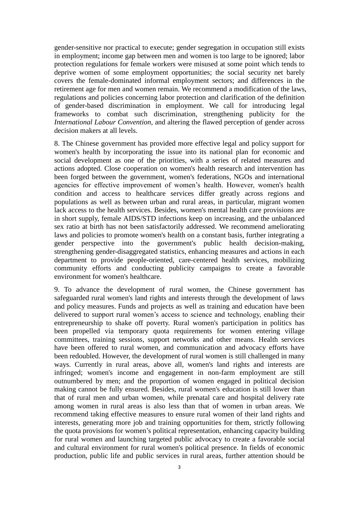gender-sensitive nor practical to execute; gender segregation in occupation still exists in employment; income gap between men and women is too large to be ignored; labor protection regulations for female workers were misused at some point which tends to deprive women of some employment opportunities; the social security net barely covers the female-dominated informal employment sectors; and differences in the retirement age for men and women remain. We recommend a modification of the laws, regulations and policies concerning labor protection and clarification of the definition of gender-based discrimination in employment. We call for introducing legal frameworks to combat such discrimination, strengthening publicity for the *International Labour Convention*, and altering the flawed perception of gender across decision makers at all levels.

8. The Chinese government has provided more effective legal and policy support for women's health by incorporating the issue into its national plan for economic and social development as one of the priorities, with a series of related measures and actions adopted. Close cooperation on women's health research and intervention has been forged between the government, women's federations, NGOs and international agencies for effective improvement of women's health. However, women's health condition and access to healthcare services differ greatly across regions and populations as well as between urban and rural areas, in particular, migrant women lack access to the health services. Besides, women's mental health care provisions are in short supply, female AIDS/STD infections keep on increasing, and the unbalanced sex ratio at birth has not been satisfactorily addressed. We recommend ameliorating laws and policies to promote women's health on a constant basis, further integrating a gender perspective into the government's public health decision-making, strengthening gender-disaggregated statistics, enhancing measures and actions in each department to provide people-oriented, care-centered health services, mobilizing community efforts and conducting publicity campaigns to create a favorable environment for women's healthcare.

9. To advance the development of rural women, the Chinese government has safeguarded rural women's land rights and interests through the development of laws and policy measures. Funds and projects as well as training and education have been delivered to support rural women's access to science and technology, enabling their entrepreneurship to shake off poverty. Rural women's participation in politics has been propelled via temporary quota requirements for women entering village committees, training sessions, support networks and other means. Health services have been offered to rural women, and communication and advocacy efforts have been redoubled. However, the development of rural women is still challenged in many ways. Currently in rural areas, above all, women's land rights and interests are infringed; women's income and engagement in non-farm employment are still outnumbered by men; and the proportion of women engaged in political decision making cannot be fully ensured. Besides, rural women's education is still lower than that of rural men and urban women, while prenatal care and hospital delivery rate among women in rural areas is also less than that of women in urban areas. We recommend taking effective measures to ensure rural women of their land rights and interests, generating more job and training opportunities for them, strictly following the quota provisions for women's political representation, enhancing capacity building for rural women and launching targeted public advocacy to create a favorable social and cultural environment for rural women's political presence. In fields of economic production, public life and public services in rural areas, further attention should be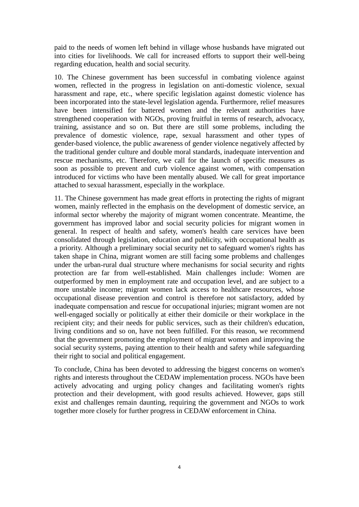paid to the needs of women left behind in village whose husbands have migrated out into cities for livelihoods. We call for increased efforts to support their well-being regarding education, health and social security.

10. The Chinese government has been successful in combating violence against women, reflected in the progress in legislation on anti-domestic violence, sexual harassment and rape, etc., where specific legislation against domestic violence has been incorporated into the state-level legislation agenda. Furthermore, relief measures have been intensified for battered women and the relevant authorities have strengthened cooperation with NGOs, proving fruitful in terms of research, advocacy, training, assistance and so on. But there are still some problems, including the prevalence of domestic violence, rape, sexual harassment and other types of gender-based violence, the public awareness of gender violence negatively affected by the traditional gender culture and double moral standards, inadequate intervention and rescue mechanisms, etc. Therefore, we call for the launch of specific measures as soon as possible to prevent and curb violence against women, with compensation introduced for victims who have been mentally abused. We call for great importance attached to sexual harassment, especially in the workplace.

11. The Chinese government has made great efforts in protecting the rights of migrant women, mainly reflected in the emphasis on the development of domestic service, an informal sector whereby the majority of migrant women concentrate. Meantime, the government has improved labor and social security policies for migrant women in general. In respect of health and safety, women's health care services have been consolidated through legislation, education and publicity, with occupational health as a priority. Although a preliminary social security net to safeguard women's rights has taken shape in China, migrant women are still facing some problems and challenges under the urban-rural dual structure where mechanisms for social security and rights protection are far from well-established. Main challenges include: Women are outperformed by men in employment rate and occupation level, and are subject to a more unstable income; migrant women lack access to healthcare resources, whose occupational disease prevention and control is therefore not satisfactory, added by inadequate compensation and rescue for occupational injuries; migrant women are not well-engaged socially or politically at either their domicile or their workplace in the recipient city; and their needs for public services, such as their children's education, living conditions and so on, have not been fulfilled. For this reason, we recommend that the government promoting the employment of migrant women and improving the social security systems, paying attention to their health and safety while safeguarding their right to social and political engagement.

To conclude, China has been devoted to addressing the biggest concerns on women's rights and interests throughout the CEDAW implementation process. NGOs have been actively advocating and urging policy changes and facilitating women's rights protection and their development, with good results achieved. However, gaps still exist and challenges remain daunting, requiring the government and NGOs to work together more closely for further progress in CEDAW enforcement in China.